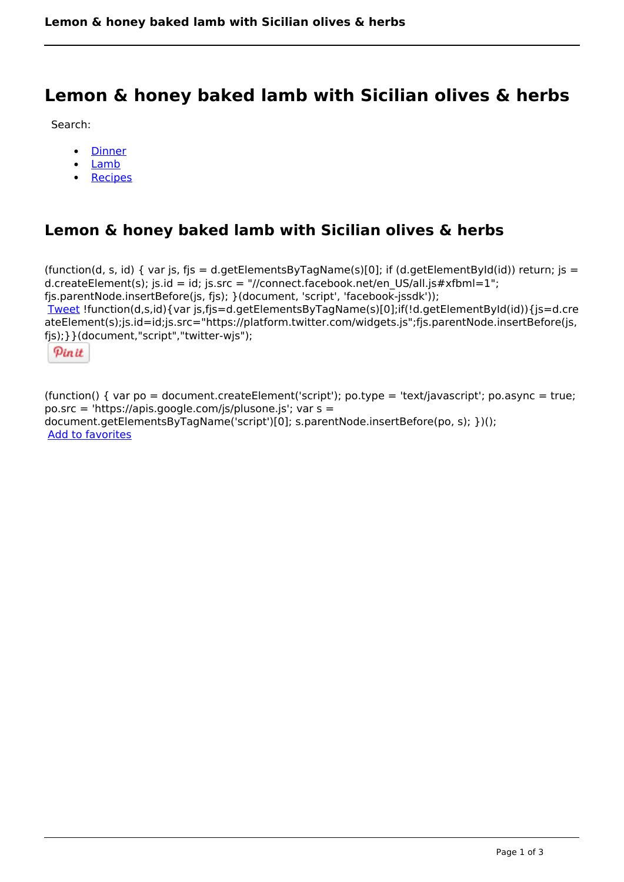# **Lemon & honey baked lamb with Sicilian olives & herbs**

Search:

- **[Dinner](https://www.naturalhealthmag.com.au/nourish/dinner-ideas)**  $\bullet$
- [Lamb](https://www.naturalhealthmag.com.au/nourish/lamb)  $\bullet$
- [Recipes](https://www.naturalhealthmag.com.au/nourish/recipes)

# **Lemon & honey baked lamb with Sicilian olives & herbs**

```
(function(d, s, id) { var js, fjs = d.getElementsByTagName(s)[0]; if (d.getElementById(id)) return; is =
d.createElement(s); js.id = id; js.src = "//connect.facebook.net/en_US/all.js#xfbml=1";
fjs.parentNode.insertBefore(js, fjs); }(document, 'script', 'facebook-jssdk')); 
Tweet !function(d,s,id){var js,fjs=d.getElementsByTagName(s)[0];if(!d.getElementById(id)){js=d.cre
ateElement(s);js.id=id;js.src="https://platform.twitter.com/widgets.js";fjs.parentNode.insertBefore(js,
fjs);}}(document,"script","twitter-wjs"); 
 Pin it
```
(function() { var po = document.createElement('script'); po.type = 'text/javascript'; po.async = true; po.src = 'https://apis.google.com/js/plusone.js'; var s = document.getElementsByTagName('script')[0]; s.parentNode.insertBefore(po, s); })(); Add to favorites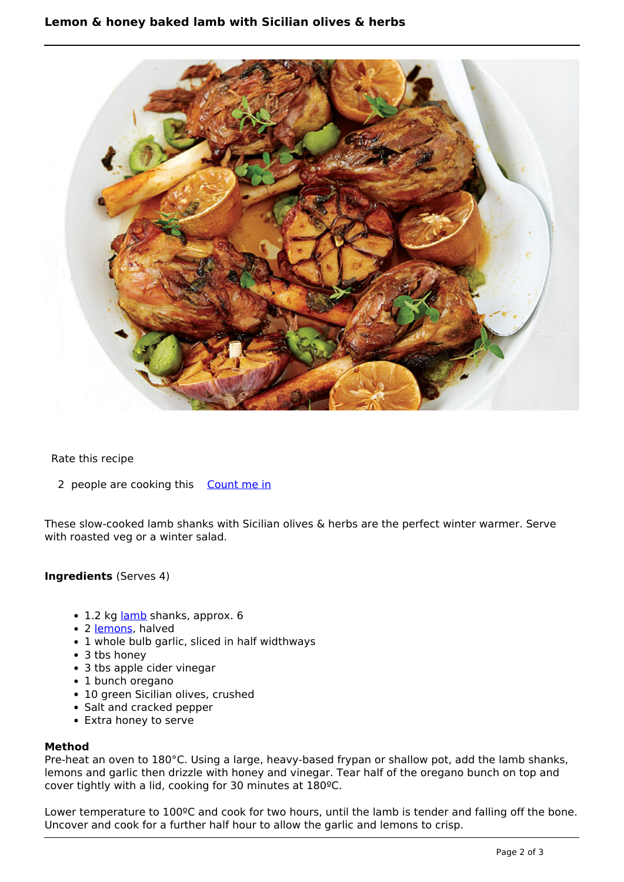

## Rate this recipe

2 people are cooking this [Count me in](https://www.naturalhealthmag.com.au/flag/flag/favorites/1259?destination=printpdf%2F1259&token=c7a09e526068b8b42867e8634ac30506)

These slow-cooked lamb shanks with Sicilian olives & herbs are the perfect winter warmer. Serve with roasted veg or a winter salad.

### **Ingredients** (Serves 4)

- 1.2 kg [lamb](http://www.naturalhealthmag.com.au/nourish/lamb) shanks, approx. 6
- 2 [lemons,](http://www.naturalhealthmag.com.au/nourish/roast-chicken-preserved-lemon-braised-vegetables) halved
- 1 whole bulb garlic, sliced in half widthways
- 3 tbs honey
- 3 tbs apple cider vinegar
- 1 bunch oregano
- 10 green Sicilian olives, crushed
- Salt and cracked pepper
- Extra honey to serve

### **Method**

Pre-heat an oven to 180°C. Using a large, heavy-based frypan or shallow pot, add the lamb shanks, lemons and garlic then drizzle with honey and vinegar. Tear half of the oregano bunch on top and cover tightly with a lid, cooking for 30 minutes at 180ºC.

Lower temperature to 100ºC and cook for two hours, until the lamb is tender and falling off the bone. Uncover and cook for a further half hour to allow the garlic and lemons to crisp.